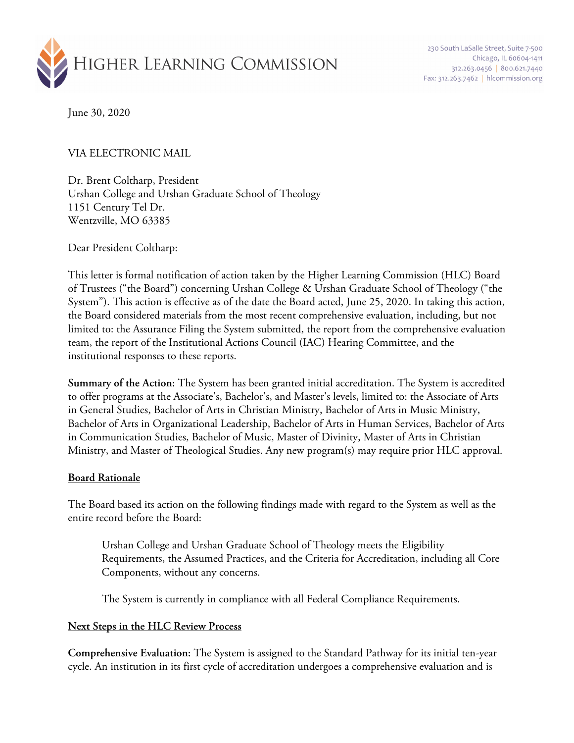

230 South LaSalle Street, Suite 7-500 Chicago, IL 60604-1411 312.263.0456 800.621.7440 Fax: 312.263.7462 | hlcommission.org

June 30, 2020

VIA ELECTRONIC MAIL

Dr. Brent Coltharp, President Urshan College and Urshan Graduate School of Theology 1151 Century Tel Dr. Wentzville, MO 63385

Dear President Coltharp:

This letter is formal notification of action taken by the Higher Learning Commission (HLC) Board of Trustees ("the Board") concerning Urshan College & Urshan Graduate School of Theology ("the System"). This action is effective as of the date the Board acted, June 25, 2020. In taking this action, the Board considered materials from the most recent comprehensive evaluation, including, but not limited to: the Assurance Filing the System submitted, the report from the comprehensive evaluation team, the report of the Institutional Actions Council (IAC) Hearing Committee, and the institutional responses to these reports.

**Summary of the Action:** The System has been granted initial accreditation. The System is accredited to offer programs at the Associate's, Bachelor's, and Master's levels, limited to: the Associate of Arts in General Studies, Bachelor of Arts in Christian Ministry, Bachelor of Arts in Music Ministry, Bachelor of Arts in Organizational Leadership, Bachelor of Arts in Human Services, Bachelor of Arts in Communication Studies, Bachelor of Music, Master of Divinity, Master of Arts in Christian Ministry, and Master of Theological Studies. Any new program(s) may require prior HLC approval.

## **Board Rationale**

The Board based its action on the following findings made with regard to the System as well as the entire record before the Board:

Urshan College and Urshan Graduate School of Theology meets the Eligibility Requirements, the Assumed Practices, and the Criteria for Accreditation, including all Core Components, without any concerns.

The System is currently in compliance with all Federal Compliance Requirements.

## **Next Steps in the HLC Review Process**

**Comprehensive Evaluation:** The System is assigned to the Standard Pathway for its initial ten-year cycle. An institution in its first cycle of accreditation undergoes a comprehensive evaluation and is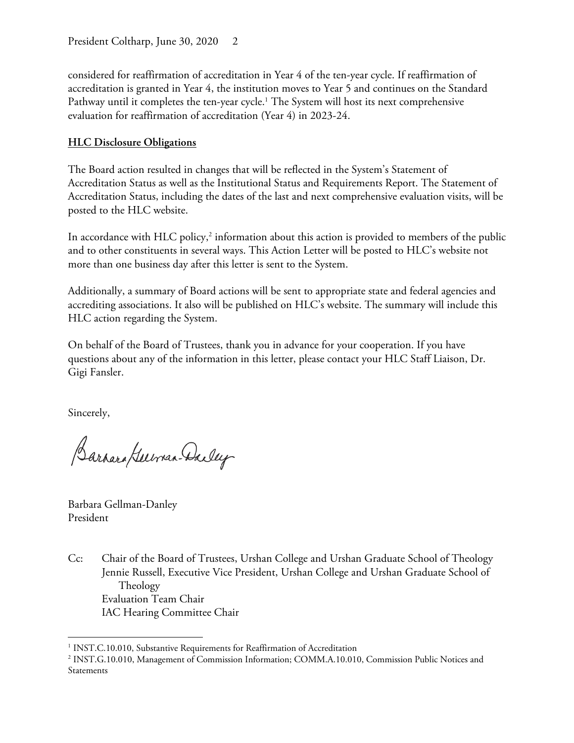considered for reaffirmation of accreditation in Year 4 of the ten-year cycle. If reaffirmation of accreditation is granted in Year 4, the institution moves to Year 5 and continues on the Standard Pathway until it completes the ten-year cycle.<sup>1</sup> The System will host its next comprehensive evaluation for reaffirmation of accreditation (Year 4) in 2023-24.

## **HLC Disclosure Obligations**

The Board action resulted in changes that will be reflected in the System's Statement of Accreditation Status as well as the Institutional Status and Requirements Report. The Statement of Accreditation Status, including the dates of the last and next comprehensive evaluation visits, will be posted to the HLC website.

In accordance with HLC policy,<sup>2</sup> information about this action is provided to members of the public and to other constituents in several ways. This Action Letter will be posted to HLC's website not more than one business day after this letter is sent to the System.

Additionally, a summary of Board actions will be sent to appropriate state and federal agencies and accrediting associations. It also will be published on HLC's website. The summary will include this HLC action regarding the System.

On behalf of the Board of Trustees, thank you in advance for your cooperation. If you have questions about any of the information in this letter, please contact your HLC Staff Liaison, Dr. Gigi Fansler.

Sincerely,

Barnara Guerran-Dadey

Barbara Gellman-Danley President

Cc: Chair of the Board of Trustees, Urshan College and Urshan Graduate School of Theology Jennie Russell, Executive Vice President, Urshan College and Urshan Graduate School of Theology Evaluation Team Chair IAC Hearing Committee Chair

<sup>&</sup>lt;sup>1</sup> INST.C.10.010, Substantive Requirements for Reaffirmation of Accreditation

<sup>2</sup> INST.G.10.010, Management of Commission Information; COMM.A.10.010, Commission Public Notices and Statements